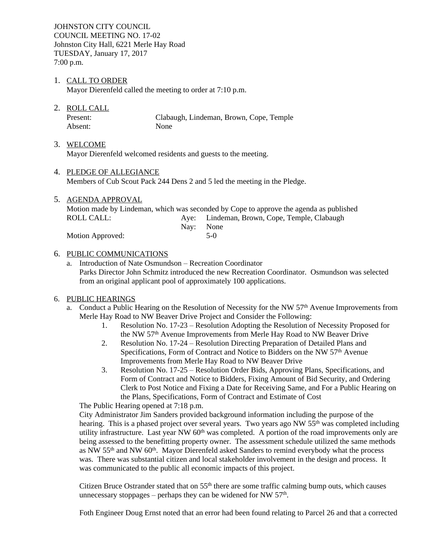JOHNSTON CITY COUNCIL COUNCIL MEETING NO. 17-02 Johnston City Hall, 6221 Merle Hay Road TUESDAY, January 17, 2017 7:00 p.m.

# 1. CALL TO ORDER

Mayor Dierenfeld called the meeting to order at 7:10 p.m.

2. ROLL CALL

Present: Clabaugh, Lindeman, Brown, Cope, Temple Absent: None

3. WELCOME

Mayor Dierenfeld welcomed residents and guests to the meeting.

- 4. PLEDGE OF ALLEGIANCE Members of Cub Scout Pack 244 Dens 2 and 5 led the meeting in the Pledge.
- 5. AGENDA APPROVAL Motion made by Lindeman, which was seconded by Cope to approve the agenda as published ROLL CALL: Aye: Lindeman, Brown, Cope, Temple, Clabaugh Nay: None Motion Approved: 5-0

# 6. PUBLIC COMMUNICATIONS

a. Introduction of Nate Osmundson – Recreation Coordinator Parks Director John Schmitz introduced the new Recreation Coordinator. Osmundson was selected from an original applicant pool of approximately 100 applications.

# 6. PUBLIC HEARINGS

- a. Conduct a Public Hearing on the Resolution of Necessity for the NW 57th Avenue Improvements from Merle Hay Road to NW Beaver Drive Project and Consider the Following:
	- 1. Resolution No. 17-23 Resolution Adopting the Resolution of Necessity Proposed for the NW 57th Avenue Improvements from Merle Hay Road to NW Beaver Drive
	- 2. Resolution No. 17-24 Resolution Directing Preparation of Detailed Plans and Specifications, Form of Contract and Notice to Bidders on the NW 57<sup>th</sup> Avenue Improvements from Merle Hay Road to NW Beaver Drive
	- 3. Resolution No. 17-25 Resolution Order Bids, Approving Plans, Specifications, and Form of Contract and Notice to Bidders, Fixing Amount of Bid Security, and Ordering Clerk to Post Notice and Fixing a Date for Receiving Same, and For a Public Hearing on the Plans, Specifications, Form of Contract and Estimate of Cost

The Public Hearing opened at 7:18 p.m.

City Administrator Jim Sanders provided background information including the purpose of the hearing. This is a phased project over several years. Two years ago NW 55<sup>th</sup> was completed including utility infrastructure. Last year NW  $60<sup>th</sup>$  was completed. A portion of the road improvements only are being assessed to the benefitting property owner. The assessment schedule utilized the same methods as NW 55th and NW 60th. Mayor Dierenfeld asked Sanders to remind everybody what the process was. There was substantial citizen and local stakeholder involvement in the design and process. It was communicated to the public all economic impacts of this project.

Citizen Bruce Ostrander stated that on  $55<sup>th</sup>$  there are some traffic calming bump outs, which causes unnecessary stoppages – perhaps they can be widened for NW 57<sup>th</sup>.

Foth Engineer Doug Ernst noted that an error had been found relating to Parcel 26 and that a corrected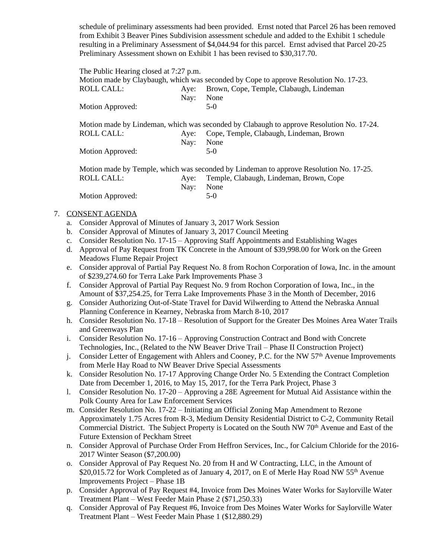schedule of preliminary assessments had been provided. Ernst noted that Parcel 26 has been removed from Exhibit 3 Beaver Pines Subdivision assessment schedule and added to the Exhibit 1 schedule resulting in a Preliminary Assessment of \$4,044.94 for this parcel. Ernst advised that Parcel 20-25 Preliminary Assessment shown on Exhibit 1 has been revised to \$30,317.70.

The Public Hearing closed at 7:27 p.m.

| Motion made by Claybaugh, which was seconded by Cope to approve Resolution No. 17-23. |           |                                              |  |  |
|---------------------------------------------------------------------------------------|-----------|----------------------------------------------|--|--|
| ROLL CALL:                                                                            |           | Aye: Brown, Cope, Temple, Clabaugh, Lindeman |  |  |
|                                                                                       | Nav: None |                                              |  |  |
| Motion Approved:                                                                      |           | $5-()$                                       |  |  |
|                                                                                       |           |                                              |  |  |

Motion made by Lindeman, which was seconded by Clabaugh to approve Resolution No. 17-24. ROLL CALL: Aye: Cope, Temple, Clabaugh, Lindeman, Brown Nay: None Motion Approved: 5-0

|                  |           | Motion made by Temple, which was seconded by Lindeman to approve Resolution No. 17-25. |
|------------------|-----------|----------------------------------------------------------------------------------------|
| ROLL CALL: .     |           | Aye: Temple, Clabaugh, Lindeman, Brown, Cope                                           |
|                  | Nav: None |                                                                                        |
| Motion Approved: |           | $5-0$                                                                                  |

# 7. CONSENT AGENDA

- a. Consider Approval of Minutes of January 3, 2017 Work Session
- b. Consider Approval of Minutes of January 3, 2017 Council Meeting
- c. Consider Resolution No. 17-15 Approving Staff Appointments and Establishing Wages
- d. Approval of Pay Request from TK Concrete in the Amount of \$39,998.00 for Work on the Green Meadows Flume Repair Project
- e. Consider approval of Partial Pay Request No. 8 from Rochon Corporation of Iowa, Inc. in the amount of \$239,274.60 for Terra Lake Park Improvements Phase 3
- f. Consider Approval of Partial Pay Request No. 9 from Rochon Corporation of Iowa, Inc., in the Amount of \$37,254.25, for Terra Lake Improvements Phase 3 in the Month of December, 2016
- g. Consider Authorizing Out-of-State Travel for David Wilwerding to Attend the Nebraska Annual Planning Conference in Kearney, Nebraska from March 8-10, 2017
- h. Consider Resolution No. 17-18 Resolution of Support for the Greater Des Moines Area Water Trails and Greenways Plan
- i. Consider Resolution No. 17-16 Approving Construction Contract and Bond with Concrete Technologies, Inc., (Related to the NW Beaver Drive Trail – Phase II Construction Project)
- j. Consider Letter of Engagement with Ahlers and Cooney, P.C. for the NW 57<sup>th</sup> Avenue Improvements from Merle Hay Road to NW Beaver Drive Special Assessments
- k. Consider Resolution No. 17-17 Approving Change Order No. 5 Extending the Contract Completion Date from December 1, 2016, to May 15, 2017, for the Terra Park Project, Phase 3
- l. Consider Resolution No. 17-20 Approving a 28E Agreement for Mutual Aid Assistance within the Polk County Area for Law Enforcement Services
- m. Consider Resolution No. 17-22 Initiating an Official Zoning Map Amendment to Rezone Approximately 1.75 Acres from R-3, Medium Density Residential District to C-2, Community Retail Commercial District. The Subject Property is Located on the South NW 70th Avenue and East of the Future Extension of Peckham Street
- n. Consider Approval of Purchase Order From Heffron Services, Inc., for Calcium Chloride for the 2016- 2017 Winter Season (\$7,200.00)
- o. Consider Approval of Pay Request No. 20 from H and W Contracting, LLC, in the Amount of \$20,015.72 for Work Completed as of January 4, 2017, on E of Merle Hay Road NW 55<sup>th</sup> Avenue Improvements Project – Phase 1B
- p. Consider Approval of Pay Request #4, Invoice from Des Moines Water Works for Saylorville Water Treatment Plant – West Feeder Main Phase 2 (\$71,250.33)
- q. Consider Approval of Pay Request #6, Invoice from Des Moines Water Works for Saylorville Water Treatment Plant – West Feeder Main Phase 1 (\$12,880.29)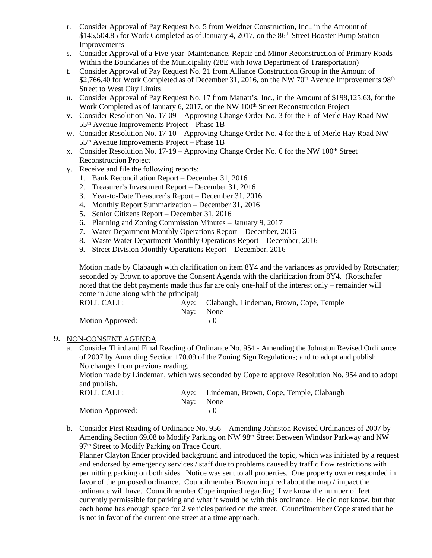- r. Consider Approval of Pay Request No. 5 from Weidner Construction, Inc., in the Amount of \$145,504.85 for Work Completed as of January 4, 2017, on the 86<sup>th</sup> Street Booster Pump Station Improvements
- s. Consider Approval of a Five-year Maintenance, Repair and Minor Reconstruction of Primary Roads Within the Boundaries of the Municipality (28E with Iowa Department of Transportation)
- t. Consider Approval of Pay Request No. 21 from Alliance Construction Group in the Amount of \$2,766.40 for Work Completed as of December 31, 2016, on the NW 70<sup>th</sup> Avenue Improvements  $98<sup>th</sup>$ Street to West City Limits
- u. Consider Approval of Pay Request No. 17 from Manatt's, Inc., in the Amount of \$198,125.63, for the Work Completed as of January 6, 2017, on the NW 100<sup>th</sup> Street Reconstruction Project
- v. Consider Resolution No. 17-09 Approving Change Order No. 3 for the E of Merle Hay Road NW 55th Avenue Improvements Project – Phase 1B
- w. Consider Resolution No. 17-10 Approving Change Order No. 4 for the E of Merle Hay Road NW 55th Avenue Improvements Project – Phase 1B
- x. Consider Resolution No. 17-19 Approving Change Order No. 6 for the NW 100<sup>th</sup> Street Reconstruction Project
- y. Receive and file the following reports:
	- 1. Bank Reconciliation Report December 31, 2016
	- 2. Treasurer's Investment Report December 31, 2016
	- 3. Year-to-Date Treasurer's Report December 31, 2016
	- 4. Monthly Report Summarization December 31, 2016
	- 5. Senior Citizens Report December 31, 2016
	- 6. Planning and Zoning Commission Minutes January 9, 2017
	- 7. Water Department Monthly Operations Report December, 2016
	- 8. Waste Water Department Monthly Operations Report December, 2016
	- 9. Street Division Monthly Operations Report December, 2016

Motion made by Clabaugh with clarification on item 8Y4 and the variances as provided by Rotschafer; seconded by Brown to approve the Consent Agenda with the clarification from 8Y4. (Rotschafer noted that the debt payments made thus far are only one-half of the interest only – remainder will come in June along with the principal)

| ROLL CALL:       |           | Aye: Clabaugh, Lindeman, Brown, Cope, Temple |
|------------------|-----------|----------------------------------------------|
|                  | Nav: None |                                              |
| Motion Approved: |           | $5-0$                                        |

## 9. NON-CONSENT AGENDA

a. Consider Third and Final Reading of Ordinance No. 954 - Amending the Johnston Revised Ordinance of 2007 by Amending Section 170.09 of the Zoning Sign Regulations; and to adopt and publish. No changes from previous reading. Motion made by Lindeman, which was seconded by Cope to approve Resolution No. 954 and to adopt

and publish.

| .<br>ROLL CALL:         |           | Aye: Lindeman, Brown, Cope, Temple, Clabaugh |
|-------------------------|-----------|----------------------------------------------|
|                         | Nav: None |                                              |
| <b>Motion Approved:</b> |           | $5-0$                                        |

b. Consider First Reading of Ordinance No. 956 – Amending Johnston Revised Ordinances of 2007 by Amending Section 69.08 to Modify Parking on NW 98th Street Between Windsor Parkway and NW 97<sup>th</sup> Street to Modify Parking on Trace Court.

Planner Clayton Ender provided background and introduced the topic, which was initiated by a request and endorsed by emergency services / staff due to problems caused by traffic flow restrictions with permitting parking on both sides. Notice was sent to all properties. One property owner responded in favor of the proposed ordinance. Councilmember Brown inquired about the map / impact the ordinance will have. Councilmember Cope inquired regarding if we know the number of feet currently permissible for parking and what it would be with this ordinance. He did not know, but that each home has enough space for 2 vehicles parked on the street. Councilmember Cope stated that he is not in favor of the current one street at a time approach.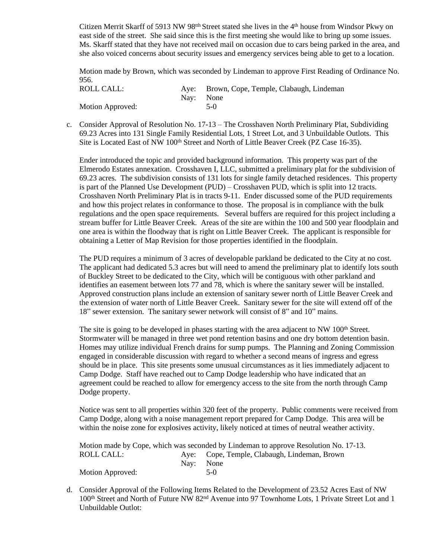Citizen Merrit Skarff of 5913 NW 98<sup>th</sup> Street stated she lives in the 4<sup>th</sup> house from Windsor Pkwy on east side of the street. She said since this is the first meeting she would like to bring up some issues. Ms. Skarff stated that they have not received mail on occasion due to cars being parked in the area, and she also voiced concerns about security issues and emergency services being able to get to a location.

Motion made by Brown, which was seconded by Lindeman to approve First Reading of Ordinance No. 956.

| ROLL CALL:       |           | Aye: Brown, Cope, Temple, Clabaugh, Lindeman |
|------------------|-----------|----------------------------------------------|
|                  | Nav: None |                                              |
| Motion Approved: |           | $5-0$                                        |

c. Consider Approval of Resolution No. 17-13 – The Crosshaven North Preliminary Plat, Subdividing 69.23 Acres into 131 Single Family Residential Lots, 1 Street Lot, and 3 Unbuildable Outlots. This Site is Located East of NW 100<sup>th</sup> Street and North of Little Beaver Creek (PZ Case 16-35).

Ender introduced the topic and provided background information. This property was part of the Elmerodo Estates annexation. Crosshaven I, LLC, submitted a preliminary plat for the subdivision of 69.23 acres. The subdivision consists of 131 lots for single family detached residences. This property is part of the Planned Use Development (PUD) – Crosshaven PUD, which is split into 12 tracts. Crosshaven North Preliminary Plat is in tracts 9-11. Ender discussed some of the PUD requirements and how this project relates in conformance to those. The proposal is in compliance with the bulk regulations and the open space requirements. Several buffers are required for this project including a stream buffer for Little Beaver Creek. Areas of the site are within the 100 and 500 year floodplain and one area is within the floodway that is right on Little Beaver Creek. The applicant is responsible for obtaining a Letter of Map Revision for those properties identified in the floodplain.

The PUD requires a minimum of 3 acres of developable parkland be dedicated to the City at no cost. The applicant had dedicated 5.3 acres but will need to amend the preliminary plat to identify lots south of Buckley Street to be dedicated to the City, which will be contiguous with other parkland and identifies an easement between lots 77 and 78, which is where the sanitary sewer will be installed. Approved construction plans include an extension of sanitary sewer north of Little Beaver Creek and the extension of water north of Little Beaver Creek. Sanitary sewer for the site will extend off of the 18" sewer extension. The sanitary sewer network will consist of 8" and 10" mains.

The site is going to be developed in phases starting with the area adjacent to NW 100<sup>th</sup> Street. Stormwater will be managed in three wet pond retention basins and one dry bottom detention basin. Homes may utilize individual French drains for sump pumps. The Planning and Zoning Commission engaged in considerable discussion with regard to whether a second means of ingress and egress should be in place. This site presents some unusual circumstances as it lies immediately adjacent to Camp Dodge. Staff have reached out to Camp Dodge leadership who have indicated that an agreement could be reached to allow for emergency access to the site from the north through Camp Dodge property.

Notice was sent to all properties within 320 feet of the property. Public comments were received from Camp Dodge, along with a noise management report prepared for Camp Dodge. This area will be within the noise zone for explosives activity, likely noticed at times of neutral weather activity.

|                  | Motion made by Cope, which was seconded by Lindeman to approve Resolution No. 17-13. |
|------------------|--------------------------------------------------------------------------------------|
| ROLL CALL:       | Aye: Cope, Temple, Clabaugh, Lindeman, Brown                                         |
|                  | Nav: None                                                                            |
| Motion Approved: | $5-0$                                                                                |

d. Consider Approval of the Following Items Related to the Development of 23.52 Acres East of NW 100th Street and North of Future NW 82nd Avenue into 97 Townhome Lots, 1 Private Street Lot and 1 Unbuildable Outlot: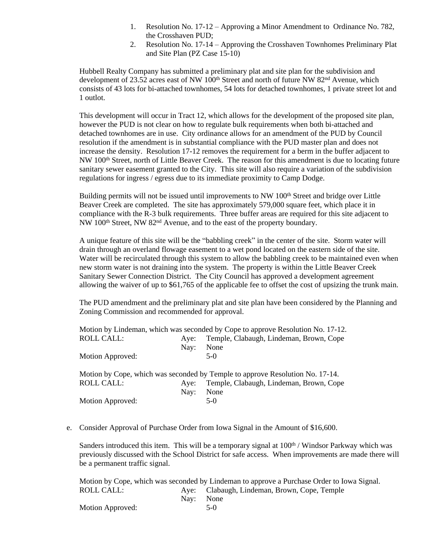- 1. Resolution No. 17-12 Approving a Minor Amendment to Ordinance No. 782, the Crosshaven PUD;
- 2. Resolution No. 17-14 Approving the Crosshaven Townhomes Preliminary Plat and Site Plan (PZ Case 15-10)

Hubbell Realty Company has submitted a preliminary plat and site plan for the subdivision and development of 23.52 acres east of NW  $100<sup>th</sup>$  Street and north of future NW 82<sup>nd</sup> Avenue, which consists of 43 lots for bi-attached townhomes, 54 lots for detached townhomes, 1 private street lot and 1 outlot.

This development will occur in Tract 12, which allows for the development of the proposed site plan, however the PUD is not clear on how to regulate bulk requirements when both bi-attached and detached townhomes are in use. City ordinance allows for an amendment of the PUD by Council resolution if the amendment is in substantial compliance with the PUD master plan and does not increase the density. Resolution 17-12 removes the requirement for a berm in the buffer adjacent to NW 100th Street, north of Little Beaver Creek. The reason for this amendment is due to locating future sanitary sewer easement granted to the City. This site will also require a variation of the subdivision regulations for ingress / egress due to its immediate proximity to Camp Dodge.

Building permits will not be issued until improvements to NW 100<sup>th</sup> Street and bridge over Little Beaver Creek are completed. The site has approximately 579,000 square feet, which place it in compliance with the R-3 bulk requirements. Three buffer areas are required for this site adjacent to NW 100th Street, NW 82nd Avenue, and to the east of the property boundary.

A unique feature of this site will be the "babbling creek" in the center of the site. Storm water will drain through an overland flowage easement to a wet pond located on the eastern side of the site. Water will be recirculated through this system to allow the babbling creek to be maintained even when new storm water is not draining into the system. The property is within the Little Beaver Creek Sanitary Sewer Connection District. The City Council has approved a development agreement allowing the waiver of up to \$61,765 of the applicable fee to offset the cost of upsizing the trunk main.

The PUD amendment and the preliminary plat and site plan have been considered by the Planning and Zoning Commission and recommended for approval.

|                   |      | Motion by Lindeman, which was seconded by Cope to approve Resolution No. 17-12. |
|-------------------|------|---------------------------------------------------------------------------------|
| <b>ROLL CALL:</b> | Aye: | Temple, Clabaugh, Lindeman, Brown, Cope                                         |
|                   | Nay: | None                                                                            |
| Motion Approved:  |      | $5-0$                                                                           |
|                   |      | Motion by Cope, which was seconded by Temple to approve Resolution No. 17-14.   |
| <b>ROLL CALL:</b> | Ave: | Temple, Clabaugh, Lindeman, Brown, Cope                                         |
|                   | Nay: | None                                                                            |
| Motion Approved:  |      | $5-0$                                                                           |

e. Consider Approval of Purchase Order from Iowa Signal in the Amount of \$16,600.

Sanders introduced this item. This will be a temporary signal at 100<sup>th</sup> / Windsor Parkway which was previously discussed with the School District for safe access. When improvements are made there will be a permanent traffic signal.

|                  |           | Motion by Cope, which was seconded by Lindeman to approve a Purchase Order to Iowa Signal. |
|------------------|-----------|--------------------------------------------------------------------------------------------|
| ROLL CALL: .     |           | Aye: Clabaugh, Lindeman, Brown, Cope, Temple                                               |
|                  | Nav: None |                                                                                            |
| Motion Approved: |           | $5-()$                                                                                     |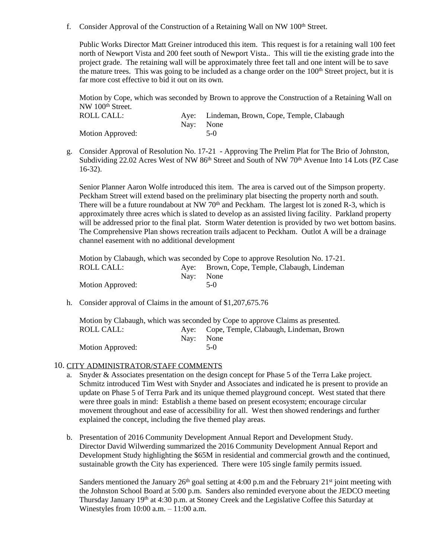f. Consider Approval of the Construction of a Retaining Wall on NW 100<sup>th</sup> Street.

Public Works Director Matt Greiner introduced this item. This request is for a retaining wall 100 feet north of Newport Vista and 200 feet south of Newport Vista.. This will tie the existing grade into the project grade. The retaining wall will be approximately three feet tall and one intent will be to save the mature trees. This was going to be included as a change order on the  $100<sup>th</sup>$  Street project, but it is far more cost effective to bid it out on its own.

Motion by Cope, which was seconded by Brown to approve the Construction of a Retaining Wall on NW 100<sup>th</sup> Street.

| ROLL CALL:       |           | Aye: Lindeman, Brown, Cope, Temple, Clabaugh |
|------------------|-----------|----------------------------------------------|
|                  | Nav: None |                                              |
| Motion Approved: |           | $5-0$                                        |

g. Consider Approval of Resolution No. 17-21 - Approving The Prelim Plat for The Brio of Johnston, Subdividing 22.02 Acres West of NW 86<sup>th</sup> Street and South of NW 70<sup>th</sup> Avenue Into 14 Lots (PZ Case 16-32).

Senior Planner Aaron Wolfe introduced this item. The area is carved out of the Simpson property. Peckham Street will extend based on the preliminary plat bisecting the property north and south. There will be a future roundabout at NW 70<sup>th</sup> and Peckham. The largest lot is zoned R-3, which is approximately three acres which is slated to develop as an assisted living facility. Parkland property will be addressed prior to the final plat. Storm Water detention is provided by two wet bottom basins. The Comprehensive Plan shows recreation trails adjacent to Peckham. Outlot A will be a drainage channel easement with no additional development

Motion by Clabaugh, which was seconded by Cope to approve Resolution No. 17-21.<br>ROLL CALL: Ave: Brown, Cope, Temple, Clabaugh, Lindeman Aye: Brown, Cope, Temple, Clabaugh, Lindeman Nay: None Motion Approved: 5-0

h. Consider approval of Claims in the amount of \$1,207,675.76

|                  | Motion by Clabaugh, which was seconded by Cope to approve Claims as presented. |
|------------------|--------------------------------------------------------------------------------|
| ROLL CALL:       | Aye: Cope, Temple, Clabaugh, Lindeman, Brown                                   |
|                  | Nav: None                                                                      |
| Motion Approved: | $5-0$                                                                          |

## 10. CITY ADMINISTRATOR/STAFF COMMENTS

- a. Snyder & Associates presentation on the design concept for Phase 5 of the Terra Lake project. Schmitz introduced Tim West with Snyder and Associates and indicated he is present to provide an update on Phase 5 of Terra Park and its unique themed playground concept. West stated that there were three goals in mind: Establish a theme based on present ecosystem; encourage circular movement throughout and ease of accessibility for all. West then showed renderings and further explained the concept, including the five themed play areas.
- b. Presentation of 2016 Community Development Annual Report and Development Study. Director David Wilwerding summarized the 2016 Community Development Annual Report and Development Study highlighting the \$65M in residential and commercial growth and the continued, sustainable growth the City has experienced. There were 105 single family permits issued.

Sanders mentioned the January  $26<sup>th</sup>$  goal setting at 4:00 p.m and the February  $21<sup>st</sup>$  joint meeting with the Johnston School Board at 5:00 p.m. Sanders also reminded everyone about the JEDCO meeting Thursday January 19th at 4:30 p.m. at Stoney Creek and the Legislative Coffee this Saturday at Winestyles from 10:00 a.m. – 11:00 a.m.